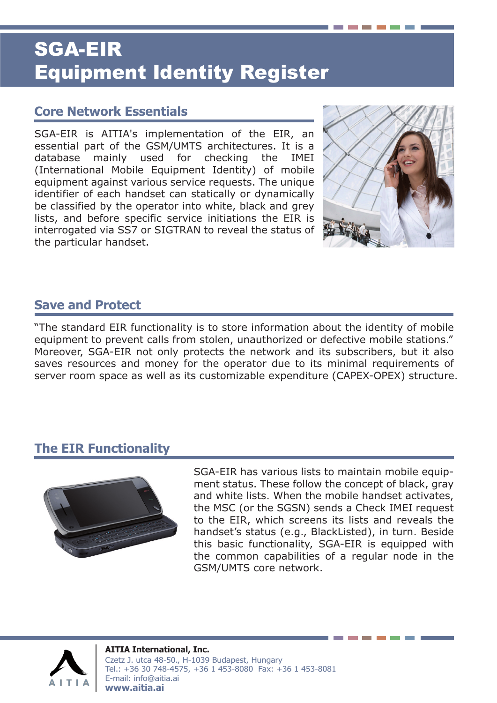# SGA-EIR Equipment Identity Register

### **Core Network Essentials**

SGA-EIR is AITIA's implementation of the EIR, an essential part of the GSM/UMTS architectures. It is a database mainly used for checking the IMEI (International Mobile Equipment Identity) of mobile equipment against various service requests. The unique identifier of each handset can statically or dynamically be classified by the operator into white, black and grey lists, and before specific service initiations the EIR is interrogated via SS7 or SIGTRAN to reveal the status of the particular handset.



### **Save and Protect**

"The standard EIR functionality is to store information about the identity of mobile equipment to prevent calls from stolen, unauthorized or defective mobile stations." Moreover, SGA-EIR not only protects the network and its subscribers, but it also saves resources and money for the operator due to its minimal requirements of server room space as well as its customizable expenditure (CAPEX-OPEX) structure.

#### **The EIR Functionality**



SGA-EIR has various lists to maintain mobile equipment status. These follow the concept of black, gray and white lists. When the mobile handset activates, the MSC (or the SGSN) sends a Check IMEI request to the EIR, which screens its lists and reveals the handset's status (e.g., BlackListed), in turn. Beside this basic functionality, SGA-EIR is equipped with the common capabilities of a regular node in the GSM/UMTS core network.



**AITIA International, Inc.** Czetz J. utca 48-50., H-1039 Budapest, Hungary Tel.: +36 30 748-4575, +36 1 453-8080 Fax: +36 1 453-8081 E-mail: info@aitia.ai **www.aitia.ai**